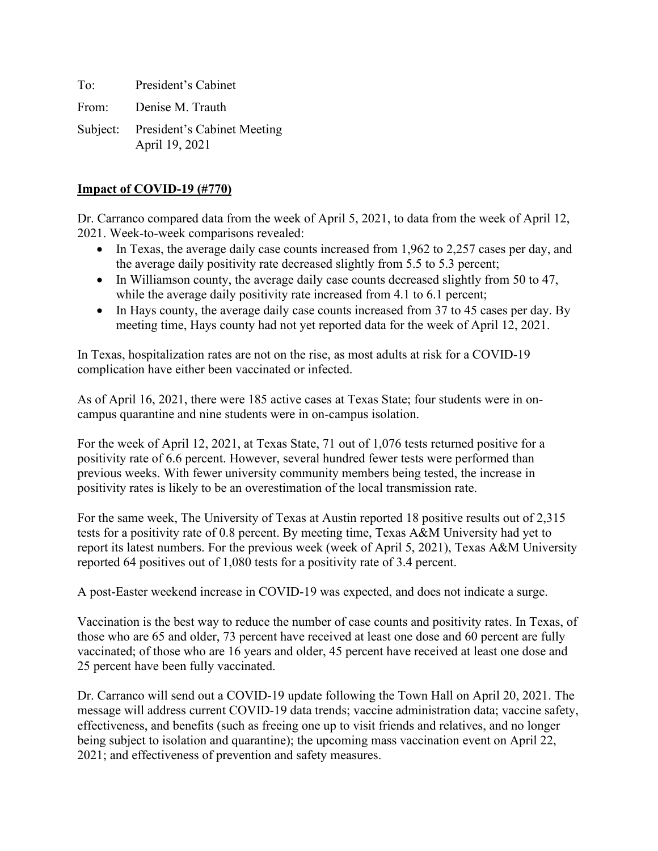To: President's Cabinet From: Denise M. Trauth Subject: President's Cabinet Meeting April 19, 2021

## **Impact of COVID-19 (#770)**

Dr. Carranco compared data from the week of April 5, 2021, to data from the week of April 12, 2021. Week-to-week comparisons revealed:

- In Texas, the average daily case counts increased from 1,962 to 2,257 cases per day, and the average daily positivity rate decreased slightly from 5.5 to 5.3 percent;
- In Williamson county, the average daily case counts decreased slightly from 50 to 47, while the average daily positivity rate increased from 4.1 to 6.1 percent;
- In Hays county, the average daily case counts increased from 37 to 45 cases per day. By meeting time, Hays county had not yet reported data for the week of April 12, 2021.

In Texas, hospitalization rates are not on the rise, as most adults at risk for a COVID-19 complication have either been vaccinated or infected.

As of April 16, 2021, there were 185 active cases at Texas State; four students were in oncampus quarantine and nine students were in on-campus isolation.

For the week of April 12, 2021, at Texas State, 71 out of 1,076 tests returned positive for a positivity rate of 6.6 percent. However, several hundred fewer tests were performed than previous weeks. With fewer university community members being tested, the increase in positivity rates is likely to be an overestimation of the local transmission rate.

For the same week, The University of Texas at Austin reported 18 positive results out of 2,315 tests for a positivity rate of 0.8 percent. By meeting time, Texas A&M University had yet to report its latest numbers. For the previous week (week of April 5, 2021), Texas A&M University reported 64 positives out of 1,080 tests for a positivity rate of 3.4 percent.

A post-Easter weekend increase in COVID-19 was expected, and does not indicate a surge.

Vaccination is the best way to reduce the number of case counts and positivity rates. In Texas, of those who are 65 and older, 73 percent have received at least one dose and 60 percent are fully vaccinated; of those who are 16 years and older, 45 percent have received at least one dose and 25 percent have been fully vaccinated.

Dr. Carranco will send out a COVID-19 update following the Town Hall on April 20, 2021. The message will address current COVID-19 data trends; vaccine administration data; vaccine safety, effectiveness, and benefits (such as freeing one up to visit friends and relatives, and no longer being subject to isolation and quarantine); the upcoming mass vaccination event on April 22, 2021; and effectiveness of prevention and safety measures.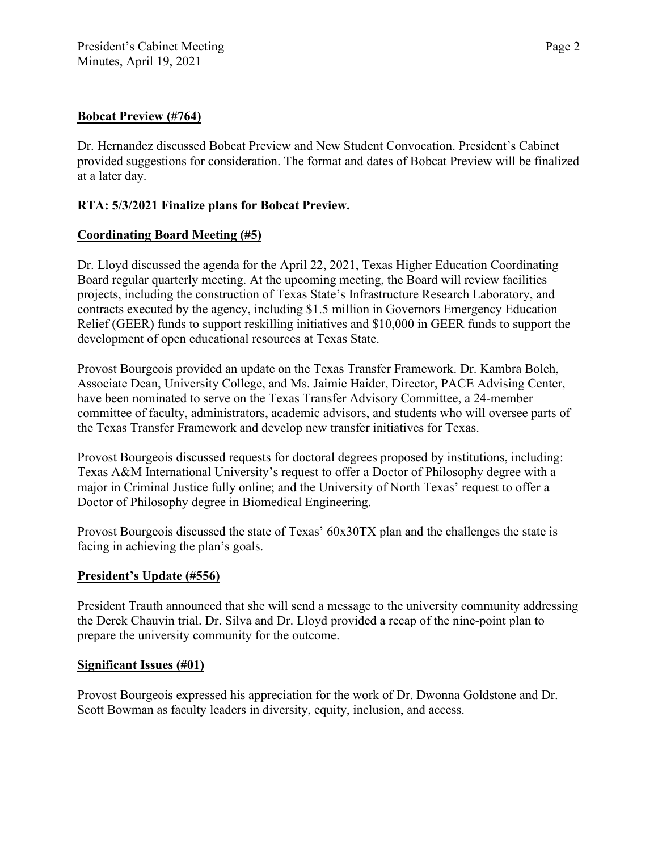### **Bobcat Preview (#764)**

Dr. Hernandez discussed Bobcat Preview and New Student Convocation. President's Cabinet provided suggestions for consideration. The format and dates of Bobcat Preview will be finalized at a later day.

## **RTA: 5/3/2021 Finalize plans for Bobcat Preview.**

## **Coordinating Board Meeting (#5)**

Dr. Lloyd discussed the agenda for the April 22, 2021, Texas Higher Education Coordinating Board regular quarterly meeting. At the upcoming meeting, the Board will review facilities projects, including the construction of Texas State's Infrastructure Research Laboratory, and contracts executed by the agency, including \$1.5 million in Governors Emergency Education Relief (GEER) funds to support reskilling initiatives and \$10,000 in GEER funds to support the development of open educational resources at Texas State.

Provost Bourgeois provided an update on the Texas Transfer Framework. Dr. Kambra Bolch, Associate Dean, University College, and Ms. Jaimie Haider, Director, PACE Advising Center, have been nominated to serve on the Texas Transfer Advisory Committee, a 24-member committee of faculty, administrators, academic advisors, and students who will oversee parts of the Texas Transfer Framework and develop new transfer initiatives for Texas.

Provost Bourgeois discussed requests for doctoral degrees proposed by institutions, including: Texas A&M International University's request to offer a Doctor of Philosophy degree with a major in Criminal Justice fully online; and the University of North Texas' request to offer a Doctor of Philosophy degree in Biomedical Engineering.

Provost Bourgeois discussed the state of Texas' 60x30TX plan and the challenges the state is facing in achieving the plan's goals.

#### **President's Update (#556)**

President Trauth announced that she will send a message to the university community addressing the Derek Chauvin trial. Dr. Silva and Dr. Lloyd provided a recap of the nine-point plan to prepare the university community for the outcome.

#### **Significant Issues (#01)**

Provost Bourgeois expressed his appreciation for the work of Dr. Dwonna Goldstone and Dr. Scott Bowman as faculty leaders in diversity, equity, inclusion, and access.